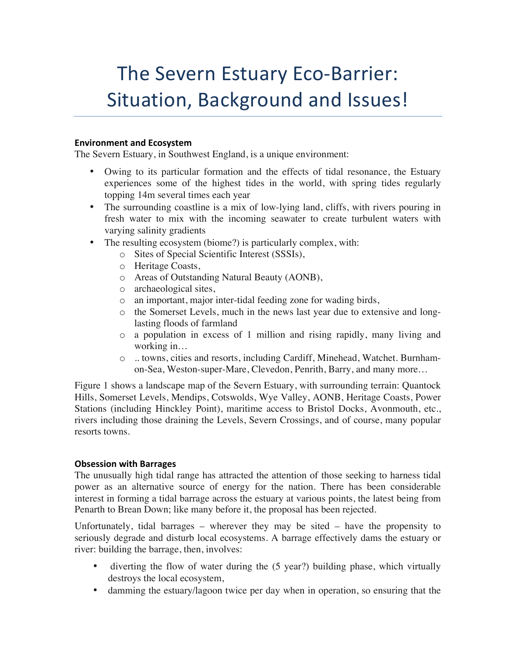# The Severn Estuary Eco-Barrier: Situation, Background and Issues!

### **Environment and Ecosystem**

The Severn Estuary, in Southwest England, is a unique environment:

- Owing to its particular formation and the effects of tidal resonance, the Estuary experiences some of the highest tides in the world, with spring tides regularly topping 14m several times each year
- The surrounding coastline is a mix of low-lying land, cliffs, with rivers pouring in fresh water to mix with the incoming seawater to create turbulent waters with varying salinity gradients
- The resulting ecosystem (biome?) is particularly complex, with:
	- o Sites of Special Scientific Interest (SSSIs),
	- o Heritage Coasts,
	- o Areas of Outstanding Natural Beauty (AONB),
	- o archaeological sites,
	- o an important, major inter-tidal feeding zone for wading birds,
	- o the Somerset Levels, much in the news last year due to extensive and longlasting floods of farmland
	- o a population in excess of 1 million and rising rapidly, many living and working in…
	- o .. towns, cities and resorts, including Cardiff, Minehead, Watchet. Burnhamon-Sea, Weston-super-Mare, Clevedon, Penrith, Barry, and many more…

Figure 1 shows a landscape map of the Severn Estuary, with surrounding terrain: Quantock Hills, Somerset Levels, Mendips, Cotswolds, Wye Valley, AONB, Heritage Coasts, Power Stations (including Hinckley Point), maritime access to Bristol Docks, Avonmouth, etc., rivers including those draining the Levels, Severn Crossings, and of course, many popular resorts towns.

## **Obsession with Barrages**

The unusually high tidal range has attracted the attention of those seeking to harness tidal power as an alternative source of energy for the nation. There has been considerable interest in forming a tidal barrage across the estuary at various points, the latest being from Penarth to Brean Down; like many before it, the proposal has been rejected.

Unfortunately, tidal barrages – wherever they may be sited – have the propensity to seriously degrade and disturb local ecosystems. A barrage effectively dams the estuary or river: building the barrage, then, involves:

- diverting the flow of water during the (5 year?) building phase, which virtually destroys the local ecosystem,
- damming the estuary/lagoon twice per day when in operation, so ensuring that the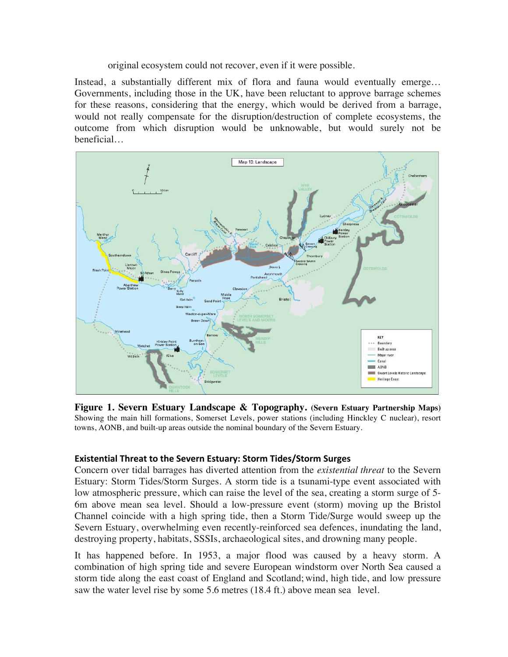original ecosystem could not recover, even if it were possible.

Instead, a substantially different mix of flora and fauna would eventually emerge… Governments, including those in the UK, have been reluctant to approve barrage schemes for these reasons, considering that the energy, which would be derived from a barrage, would not really compensate for the disruption/destruction of complete ecosystems, the outcome from which disruption would be unknowable, but would surely not be beneficial…



**Figure 1. Severn Estuary Landscape & Topography. (Severn Estuary Partnership Maps)** Showing the main hill formations, Somerset Levels, power stations (including Hinckley C nuclear), resort towns, AONB, and built-up areas outside the nominal boundary of the Severn Estuary.

## **Existential Threat to the Severn Estuary: Storm Tides/Storm Surges**

Concern over tidal barrages has diverted attention from the *existential threat* to the Severn Estuary: Storm Tides/Storm Surges. A storm tide is a tsunami-type event associated with low atmospheric pressure, which can raise the level of the sea, creating a storm surge of 5- 6m above mean sea level. Should a low-pressure event (storm) moving up the Bristol Channel coincide with a high spring tide, then a Storm Tide/Surge would sweep up the Severn Estuary, overwhelming even recently-reinforced sea defences, inundating the land, destroying property, habitats, SSSIs, archaeological sites, and drowning many people.

It has happened before. In 1953, a major flood was caused by a heavy storm. A combination of high spring tide and severe European windstorm over North Sea caused a storm tide along the east coast of England and Scotland; wind, high tide, and low pressure saw the water level rise by some 5.6 metres (18.4 ft.) above mean sea level.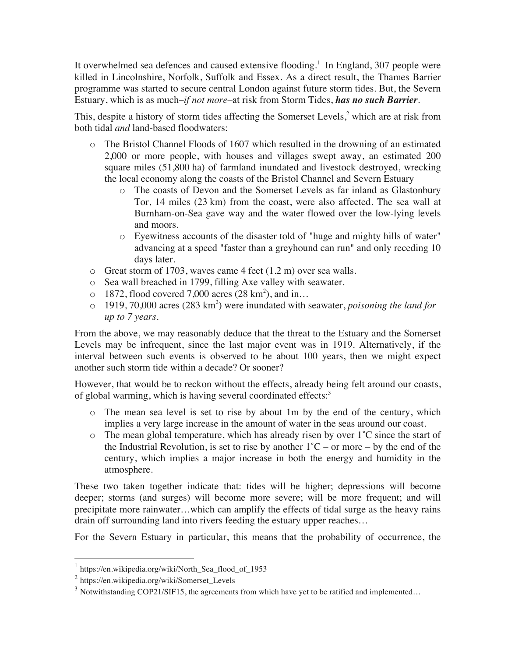It overwhelmed sea defences and caused extensive flooding.<sup>1</sup> In England, 307 people were killed in Lincolnshire, Norfolk, Suffolk and Essex. As a direct result, the Thames Barrier programme was started to secure central London against future storm tides. But, the Severn Estuary, which is as much–*if not more–*at risk from Storm Tides, *has no such Barrier*.

This, despite a history of storm tides affecting the Somerset Levels,<sup>2</sup> which are at risk from both tidal *and* land-based floodwaters:

- o The Bristol Channel Floods of 1607 which resulted in the drowning of an estimated 2,000 or more people, with houses and villages swept away, an estimated 200 square miles (51,800 ha) of farmland inundated and livestock destroyed, wrecking the local economy along the coasts of the Bristol Channel and Severn Estuary
	- o The coasts of Devon and the Somerset Levels as far inland as Glastonbury Tor, 14 miles (23 km) from the coast, were also affected. The sea wall at Burnham-on-Sea gave way and the water flowed over the low-lying levels and moors.
	- o Eyewitness accounts of the disaster told of "huge and mighty hills of water" advancing at a speed "faster than a greyhound can run" and only receding 10 days later.
- o Great storm of 1703, waves came 4 feet (1.2 m) over sea walls.
- o Sea wall breached in 1799, filling Axe valley with seawater.
- $\circ$  1872, flood covered 7,000 acres (28 km<sup>2</sup>), and in...
- o 1919, 70,000 acres (283 km<sup>2</sup> ) were inundated with seawater, *poisoning the land for up to 7 years*.

From the above, we may reasonably deduce that the threat to the Estuary and the Somerset Levels may be infrequent, since the last major event was in 1919. Alternatively, if the interval between such events is observed to be about 100 years, then we might expect another such storm tide within a decade? Or sooner?

However, that would be to reckon without the effects, already being felt around our coasts, of global warming, which is having several coordinated effects:<sup>3</sup>

- o The mean sea level is set to rise by about 1m by the end of the century, which implies a very large increase in the amount of water in the seas around our coast.
- $\circ$  The mean global temperature, which has already risen by over 1°C since the start of the Industrial Revolution, is set to rise by another  $1^{\circ}$ C – or more – by the end of the century, which implies a major increase in both the energy and humidity in the atmosphere.

These two taken together indicate that: tides will be higher; depressions will become deeper; storms (and surges) will become more severe; will be more frequent; and will precipitate more rainwater…which can amplify the effects of tidal surge as the heavy rains drain off surrounding land into rivers feeding the estuary upper reaches…

For the Severn Estuary in particular, this means that the probability of occurrence, the

 $1$  https://en.wikipedia.org/wiki/North Sea flood of 1953

<sup>2</sup> https://en.wikipedia.org/wiki/Somerset\_Levels

<sup>&</sup>lt;sup>3</sup> Notwithstanding COP21/SIF15, the agreements from which have yet to be ratified and implemented...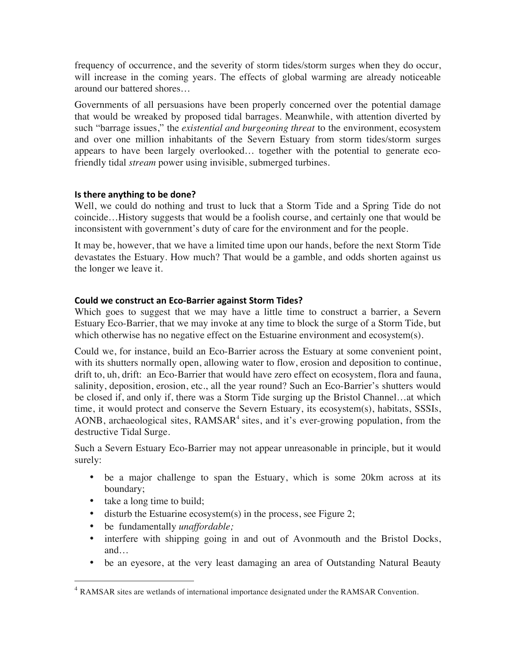frequency of occurrence, and the severity of storm tides/storm surges when they do occur, will increase in the coming years. The effects of global warming are already noticeable around our battered shores…

Governments of all persuasions have been properly concerned over the potential damage that would be wreaked by proposed tidal barrages. Meanwhile, with attention diverted by such "barrage issues," the *existential and burgeoning threat* to the environment, ecosystem and over one million inhabitants of the Severn Estuary from storm tides/storm surges appears to have been largely overlooked… together with the potential to generate ecofriendly tidal *stream* power using invisible, submerged turbines.

## **Is there anything to be done?**

Well, we could do nothing and trust to luck that a Storm Tide and a Spring Tide do not coincide…History suggests that would be a foolish course, and certainly one that would be inconsistent with government's duty of care for the environment and for the people.

It may be, however, that we have a limited time upon our hands, before the next Storm Tide devastates the Estuary. How much? That would be a gamble, and odds shorten against us the longer we leave it.

## **Could we construct an Eco-Barrier against Storm Tides?**

Which goes to suggest that we may have a little time to construct a barrier, a Severn Estuary Eco-Barrier, that we may invoke at any time to block the surge of a Storm Tide, but which otherwise has no negative effect on the Estuarine environment and ecosystem(s).

Could we, for instance, build an Eco-Barrier across the Estuary at some convenient point, with its shutters normally open, allowing water to flow, erosion and deposition to continue, drift to, uh, drift: an Eco-Barrier that would have zero effect on ecosystem, flora and fauna, salinity, deposition, erosion, etc., all the year round? Such an Eco-Barrier's shutters would be closed if, and only if, there was a Storm Tide surging up the Bristol Channel…at which time, it would protect and conserve the Severn Estuary, its ecosystem(s), habitats, SSSIs, AONB, archaeological sites,  $RAMSAR<sup>4</sup>$  sites, and it's ever-growing population, from the destructive Tidal Surge.

Such a Severn Estuary Eco-Barrier may not appear unreasonable in principle, but it would surely:

- be a major challenge to span the Estuary, which is some 20km across at its boundary;
- take a long time to build;
- disturb the Estuarine ecosystem(s) in the process, see Figure 2;
- be fundamentally *unaffordable;*
- interfere with shipping going in and out of Avonmouth and the Bristol Docks, and…
- be an eyesore, at the very least damaging an area of Outstanding Natural Beauty

 <sup>4</sup> RAMSAR sites are wetlands of international importance designated under the RAMSAR Convention.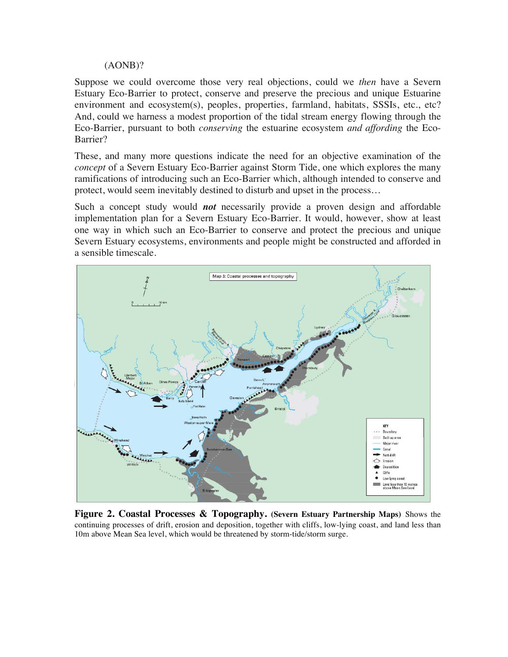#### (AONB)?

Suppose we could overcome those very real objections, could we *then* have a Severn Estuary Eco-Barrier to protect, conserve and preserve the precious and unique Estuarine environment and ecosystem(s), peoples, properties, farmland, habitats, SSSIs, etc., etc? And, could we harness a modest proportion of the tidal stream energy flowing through the Eco-Barrier, pursuant to both *conserving* the estuarine ecosystem *and affording* the Eco-Barrier?

These, and many more questions indicate the need for an objective examination of the *concept* of a Severn Estuary Eco-Barrier against Storm Tide, one which explores the many ramifications of introducing such an Eco-Barrier which, although intended to conserve and protect, would seem inevitably destined to disturb and upset in the process…

Such a concept study would *not* necessarily provide a proven design and affordable implementation plan for a Severn Estuary Eco-Barrier. It would, however, show at least one way in which such an Eco-Barrier to conserve and protect the precious and unique Severn Estuary ecosystems, environments and people might be constructed and afforded in a sensible timescale.



**Figure 2. Coastal Processes & Topography. (Severn Estuary Partnership Maps)** Shows the continuing processes of drift, erosion and deposition, together with cliffs, low-lying coast, and land less than 10m above Mean Sea level, which would be threatened by storm-tide/storm surge.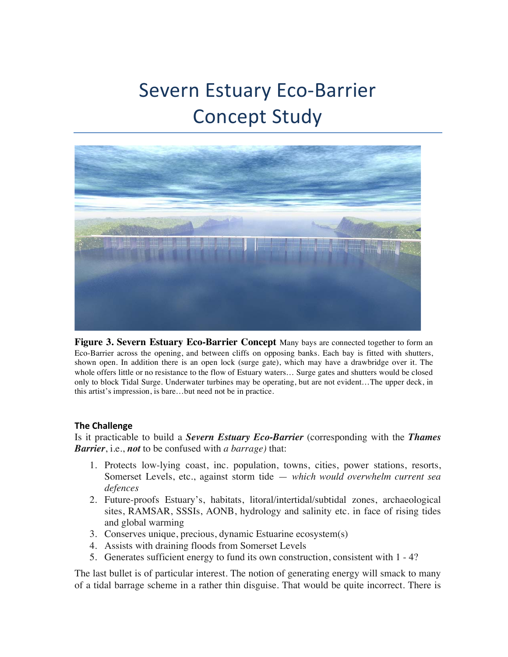# Severn Estuary Eco-Barrier **Concept Study**



**Figure 3. Severn Estuary Eco-Barrier Concept** Many bays are connected together to form an Eco-Barrier across the opening, and between cliffs on opposing banks. Each bay is fitted with shutters, shown open. In addition there is an open lock (surge gate), which may have a drawbridge over it. The whole offers little or no resistance to the flow of Estuary waters… Surge gates and shutters would be closed only to block Tidal Surge. Underwater turbines may be operating, but are not evident…The upper deck, in this artist's impression, is bare…but need not be in practice.

#### **The Challenge**

Is it practicable to build a *Severn Estuary Eco-Barrier* (corresponding with the *Thames Barrier*, i.e., *not* to be confused with *a barrage)* that:

- 1. Protects low-lying coast, inc. population, towns, cities, power stations, resorts, Somerset Levels, etc., against storm tide — *which would overwhelm current sea defences*
- 2. Future-proofs Estuary's, habitats, litoral/intertidal/subtidal zones, archaeological sites, RAMSAR, SSSIs, AONB, hydrology and salinity etc. in face of rising tides and global warming
- 3. Conserves unique, precious, dynamic Estuarine ecosystem(s)
- 4. Assists with draining floods from Somerset Levels
- 5. Generates sufficient energy to fund its own construction, consistent with 1 4?

The last bullet is of particular interest. The notion of generating energy will smack to many of a tidal barrage scheme in a rather thin disguise. That would be quite incorrect. There is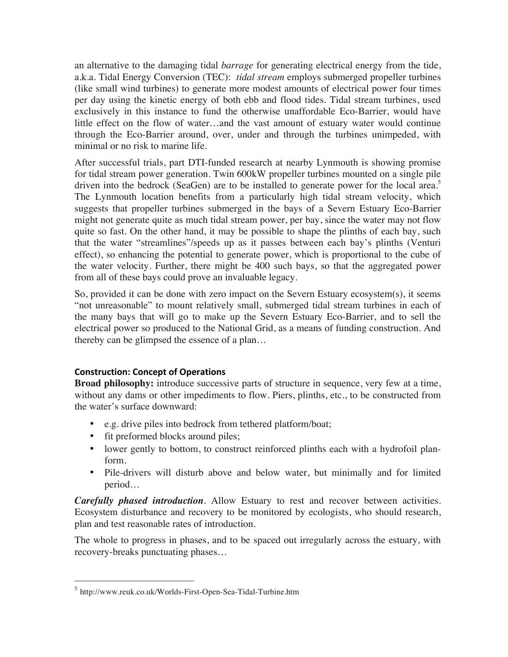an alternative to the damaging tidal *barrage* for generating electrical energy from the tide, a.k.a. Tidal Energy Conversion (TEC): *tidal stream* employs submerged propeller turbines (like small wind turbines) to generate more modest amounts of electrical power four times per day using the kinetic energy of both ebb and flood tides. Tidal stream turbines, used exclusively in this instance to fund the otherwise unaffordable Eco-Barrier, would have little effect on the flow of water…and the vast amount of estuary water would continue through the Eco-Barrier around, over, under and through the turbines unimpeded, with minimal or no risk to marine life.

After successful trials, part DTI-funded research at nearby Lynmouth is showing promise for tidal stream power generation. Twin 600kW propeller turbines mounted on a single pile driven into the bedrock (SeaGen) are to be installed to generate power for the local area.<sup>5</sup> The Lynmouth location benefits from a particularly high tidal stream velocity, which suggests that propeller turbines submerged in the bays of a Severn Estuary Eco-Barrier might not generate quite as much tidal stream power, per bay, since the water may not flow quite so fast. On the other hand, it may be possible to shape the plinths of each bay, such that the water "streamlines"/speeds up as it passes between each bay's plinths (Venturi effect), so enhancing the potential to generate power, which is proportional to the cube of the water velocity. Further, there might be 400 such bays, so that the aggregated power from all of these bays could prove an invaluable legacy.

So, provided it can be done with zero impact on the Severn Estuary ecosystem(s), it seems "not unreasonable" to mount relatively small, submerged tidal stream turbines in each of the many bays that will go to make up the Severn Estuary Eco-Barrier, and to sell the electrical power so produced to the National Grid, as a means of funding construction. And thereby can be glimpsed the essence of a plan…

# **Construction: Concept of Operations**

**Broad philosophy:** introduce successive parts of structure in sequence, very few at a time, without any dams or other impediments to flow. Piers, plinths, etc., to be constructed from the water's surface downward:

- e.g. drive piles into bedrock from tethered platform/boat;
- fit preformed blocks around piles;
- lower gently to bottom, to construct reinforced plinths each with a hydrofoil planform.
- Pile-drivers will disturb above and below water, but minimally and for limited period…

*Carefully phased introduction*. Allow Estuary to rest and recover between activities. Ecosystem disturbance and recovery to be monitored by ecologists, who should research, plan and test reasonable rates of introduction.

The whole to progress in phases, and to be spaced out irregularly across the estuary, with recovery-breaks punctuating phases…

 <sup>5</sup> http://www.reuk.co.uk/Worlds-First-Open-Sea-Tidal-Turbine.htm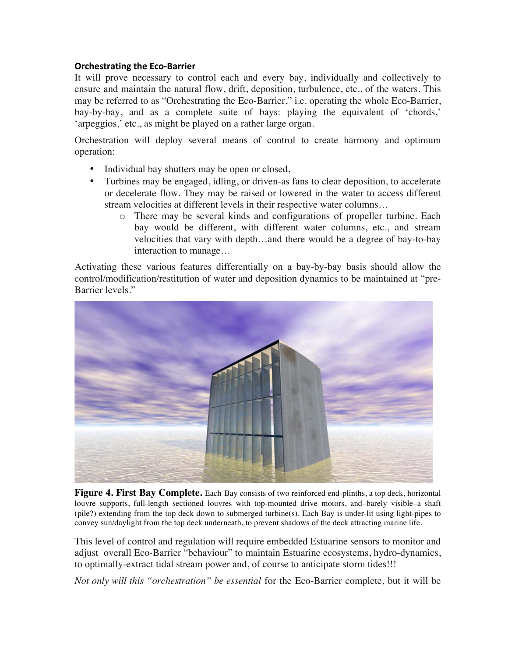# **Orchestrating the Eco-Barrier**

It will prove necessary to control each and every bay, individually and collectively to ensure and maintain the natural flow, drift, deposition, turbulence, etc., of the waters. This may be referred to as "Orchestrating the Eco-Barrier," i.e. operating the whole Eco-Barrier, bay-by-bay, and as a complete suite of bays: playing the equivalent of 'chords,' 'arpeggios,' etc., as might be played on a rather large organ.

Orchestration will deploy several means of control to create harmony and optimum operation:

- Individual bay shutters may be open or closed,
- Turbines may be engaged, idling, or driven-as fans to clear deposition, to accelerate or decelerate flow. They may be raised or lowered in the water to access different stream velocities at different levels in their respective water columns…
	- o There may be several kinds and configurations of propeller turbine. Each bay would be different, with different water columns, etc., and stream velocities that vary with depth…and there would be a degree of bay-to-bay interaction to manage…

Activating these various features differentially on a bay-by-bay basis should allow the control/modification/restitution of water and deposition dynamics to be maintained at "pre-Barrier levels."



**Figure 4. First Bay Complete.** Each Bay consists of two reinforced end-plinths, a top deck, horizontal louvre supports, full-length sectioned louvres with top-mounted drive motors, and–barely visible–a shaft (pile?) extending from the top deck down to submerged turbine(s). Each Bay is under-lit using light-pipes to convey sun/daylight from the top deck underneath, to prevent shadows of the deck attracting marine life.

This level of control and regulation will require embedded Estuarine sensors to monitor and adjust overall Eco-Barrier "behaviour" to maintain Estuarine ecosystems, hydro-dynamics, to optimally-extract tidal stream power and, of course to anticipate storm tides!!!

*Not only will this "orchestration" be essential* for the Eco-Barrier complete, but it will be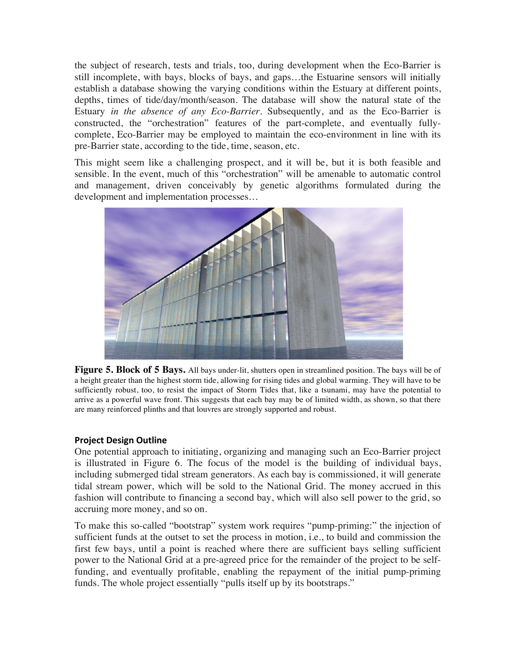the subject of research, tests and trials, too, during development when the Eco-Barrier is still incomplete, with bays, blocks of bays, and gaps…the Estuarine sensors will initially establish a database showing the varying conditions within the Estuary at different points, depths, times of tide/day/month/season. The database will show the natural state of the Estuary *in the absence of any Eco-Barrier.* Subsequently, and as the Eco-Barrier is constructed, the "orchestration" features of the part-complete, and eventually fullycomplete, Eco-Barrier may be employed to maintain the eco-environment in line with its pre-Barrier state, according to the tide, time, season, etc.

This might seem like a challenging prospect, and it will be, but it is both feasible and sensible. In the event, much of this "orchestration" will be amenable to automatic control and management, driven conceivably by genetic algorithms formulated during the development and implementation processes…



**Figure 5. Block of 5 Bays.** All bays under-lit, shutters open in streamlined position. The bays will be of a height greater than the highest storm tide, allowing for rising tides and global warming. They will have to be sufficiently robust, too, to resist the impact of Storm Tides that, like a tsunami, may have the potential to arrive as a powerful wave front. This suggests that each bay may be of limited width, as shown, so that there are many reinforced plinths and that louvres are strongly supported and robust.

## **Project Design Outline**

One potential approach to initiating, organizing and managing such an Eco-Barrier project is illustrated in Figure 6. The focus of the model is the building of individual bays, including submerged tidal stream generators. As each bay is commissioned, it will generate tidal stream power, which will be sold to the National Grid. The money accrued in this fashion will contribute to financing a second bay, which will also sell power to the grid, so accruing more money, and so on.

To make this so-called "bootstrap" system work requires "pump-priming:" the injection of sufficient funds at the outset to set the process in motion, i.e., to build and commission the first few bays, until a point is reached where there are sufficient bays selling sufficient power to the National Grid at a pre-agreed price for the remainder of the project to be selffunding, and eventually profitable, enabling the repayment of the initial pump-priming funds. The whole project essentially "pulls itself up by its bootstraps."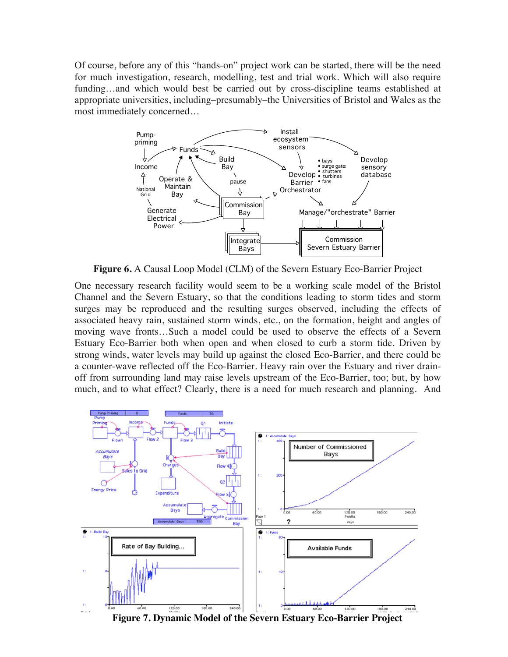Of course, before any of this "hands-on" project work can be started, there will be the need for much investigation, research, modelling, test and trial work. Which will also require funding…and which would best be carried out by cross-discipline teams established at appropriate universities, including–presumably–the Universities of Bristol and Wales as the most immediately concerned…



**Figure 6.** A Causal Loop Model (CLM) of the Severn Estuary Eco-Barrier Project

One necessary research facility would seem to be a working scale model of the Bristol Channel and the Severn Estuary, so that the conditions leading to storm tides and storm surges may be reproduced and the resulting surges observed, including the effects of associated heavy rain, sustained storm winds, etc., on the formation, height and angles of moving wave fronts…Such a model could be used to observe the effects of a Severn Estuary Eco-Barrier both when open and when closed to curb a storm tide. Driven by strong winds, water levels may build up against the closed Eco-Barrier, and there could be a counter-wave reflected off the Eco-Barrier. Heavy rain over the Estuary and river drainoff from surrounding land may raise levels upstream of the Eco-Barrier, too; but, by how much, and to what effect? Clearly, there is a need for much research and planning. And



**Figure 7. Dynamic Model of the Severn Estuary Eco-Barrier Project**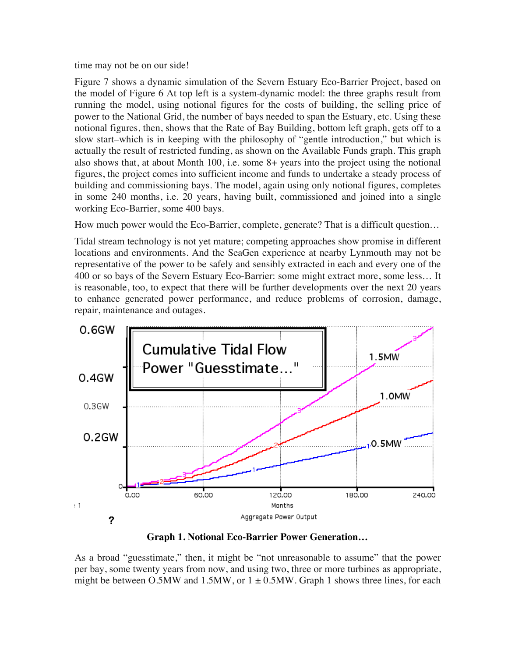time may not be on our side!

Figure 7 shows a dynamic simulation of the Severn Estuary Eco-Barrier Project, based on the model of Figure 6 At top left is a system-dynamic model: the three graphs result from running the model, using notional figures for the costs of building, the selling price of power to the National Grid, the number of bays needed to span the Estuary, etc. Using these notional figures, then, shows that the Rate of Bay Building, bottom left graph, gets off to a slow start–which is in keeping with the philosophy of "gentle introduction," but which is actually the result of restricted funding, as shown on the Available Funds graph. This graph also shows that, at about Month 100, i.e. some 8+ years into the project using the notional figures, the project comes into sufficient income and funds to undertake a steady process of building and commissioning bays. The model, again using only notional figures, completes in some 240 months, i.e. 20 years, having built, commissioned and joined into a single working Eco-Barrier, some 400 bays.

How much power would the Eco-Barrier, complete, generate? That is a difficult question…

Tidal stream technology is not yet mature; competing approaches show promise in different locations and environments. And the SeaGen experience at nearby Lynmouth may not be representative of the power to be safely and sensibly extracted in each and every one of the 400 or so bays of the Severn Estuary Eco-Barrier: some might extract more, some less… It is reasonable, too, to expect that there will be further developments over the next 20 years to enhance generated power performance, and reduce problems of corrosion, damage, repair, maintenance and outages.



**Graph 1. Notional Eco-Barrier Power Generation…**

As a broad "guesstimate," then, it might be "not unreasonable to assume" that the power per bay, some twenty years from now, and using two, three or more turbines as appropriate, might be between O.5MW and 1.5MW, or  $1 \pm 0.5$ MW. Graph 1 shows three lines, for each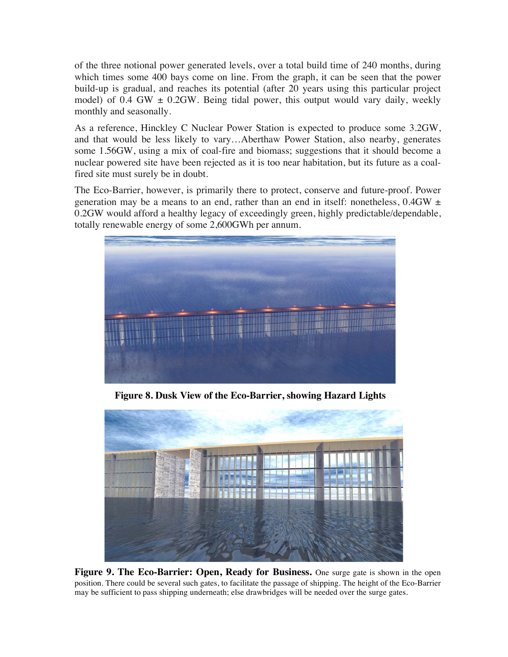of the three notional power generated levels, over a total build time of 240 months, during which times some 400 bays come on line. From the graph, it can be seen that the power build-up is gradual, and reaches its potential (after 20 years using this particular project model) of 0.4 GW  $\pm$  0.2GW. Being tidal power, this output would vary daily, weekly monthly and seasonally.

As a reference, Hinckley C Nuclear Power Station is expected to produce some 3.2GW, and that would be less likely to vary…Aberthaw Power Station, also nearby, generates some 1.56GW, using a mix of coal-fire and biomass; suggestions that it should become a nuclear powered site have been rejected as it is too near habitation, but its future as a coalfired site must surely be in doubt.

The Eco-Barrier, however, is primarily there to protect, conserve and future-proof. Power generation may be a means to an end, rather than an end in itself: nonetheless,  $0.4$ GW  $\pm$ 0.2GW would afford a healthy legacy of exceedingly green, highly predictable/dependable, totally renewable energy of some 2,600GWh per annum.



**Figure 8. Dusk View of the Eco-Barrier, showing Hazard Lights**



**Figure 9. The Eco-Barrier: Open, Ready for Business.** One surge gate is shown in the open position. There could be several such gates, to facilitate the passage of shipping. The height of the Eco-Barrier may be sufficient to pass shipping underneath; else drawbridges will be needed over the surge gates.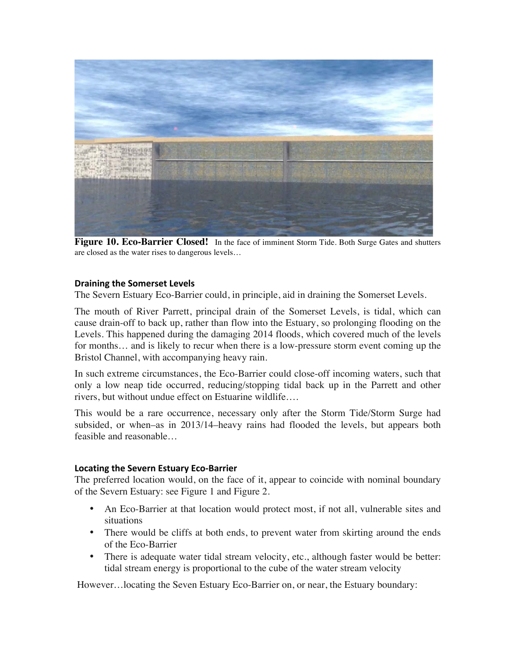

**Figure 10. Eco-Barrier Closed!** In the face of imminent Storm Tide. Both Surge Gates and shutters are closed as the water rises to dangerous levels…

#### **Draining the Somerset Levels**

The Severn Estuary Eco-Barrier could, in principle, aid in draining the Somerset Levels.

The mouth of River Parrett, principal drain of the Somerset Levels, is tidal, which can cause drain-off to back up, rather than flow into the Estuary, so prolonging flooding on the Levels. This happened during the damaging 2014 floods, which covered much of the levels for months… and is likely to recur when there is a low-pressure storm event coming up the Bristol Channel, with accompanying heavy rain.

In such extreme circumstances, the Eco-Barrier could close-off incoming waters, such that only a low neap tide occurred, reducing/stopping tidal back up in the Parrett and other rivers, but without undue effect on Estuarine wildlife….

This would be a rare occurrence, necessary only after the Storm Tide/Storm Surge had subsided, or when–as in 2013/14–heavy rains had flooded the levels, but appears both feasible and reasonable…

#### **Locating the Severn Estuary Eco-Barrier**

The preferred location would, on the face of it, appear to coincide with nominal boundary of the Severn Estuary: see Figure 1 and Figure 2.

- An Eco-Barrier at that location would protect most, if not all, vulnerable sites and situations
- There would be cliffs at both ends, to prevent water from skirting around the ends of the Eco-Barrier
- There is adequate water tidal stream velocity, etc., although faster would be better: tidal stream energy is proportional to the cube of the water stream velocity

However…locating the Seven Estuary Eco-Barrier on, or near, the Estuary boundary: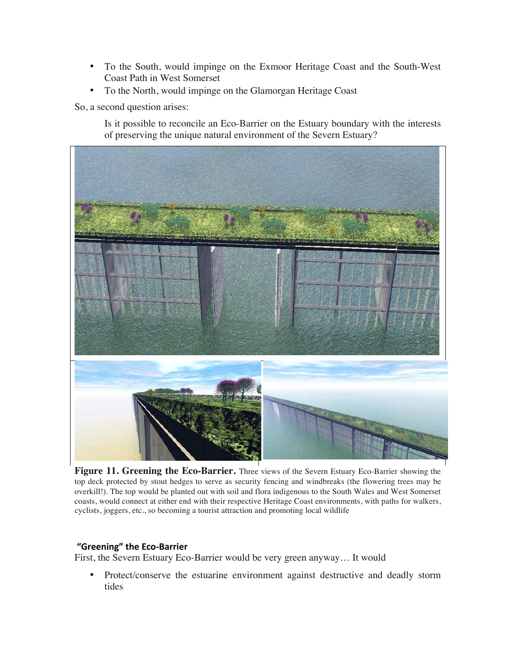- To the South, would impinge on the Exmoor Heritage Coast and the South-West Coast Path in West Somerset
- To the North, would impinge on the Glamorgan Heritage Coast

So, a second question arises:

Is it possible to reconcile an Eco-Barrier on the Estuary boundary with the interests of preserving the unique natural environment of the Severn Estuary?



**Figure 11. Greening the Eco-Barrier.** Three views of the Severn Estuary Eco-Barrier showing the top deck protected by stout hedges to serve as security fencing and windbreaks (the flowering trees may be overkill!). The top would be planted out with soil and flora indigenous to the South Wales and West Somerset coasts, would connect at either end with their respective Heritage Coast environments, with paths for walkers, cyclists, joggers, etc., so becoming a tourist attraction and promoting local wildlife

## **"Greening" the Eco-Barrier**

First, the Severn Estuary Eco-Barrier would be very green anyway… It would

• Protect/conserve the estuarine environment against destructive and deadly storm tides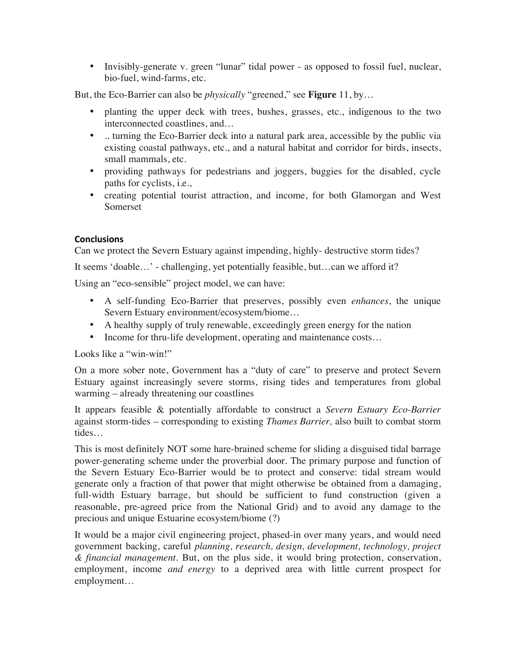• Invisibly-generate v. green "lunar" tidal power - as opposed to fossil fuel, nuclear, bio-fuel, wind-farms, etc.

But, the Eco-Barrier can also be *physically* "greened," see **Figure** 11, by…

- planting the upper deck with trees, bushes, grasses, etc., indigenous to the two interconnected coastlines, and…
- .. turning the Eco-Barrier deck into a natural park area, accessible by the public via existing coastal pathways, etc., and a natural habitat and corridor for birds, insects, small mammals, etc.
- providing pathways for pedestrians and joggers, buggies for the disabled, cycle paths for cyclists, i.e.,
- creating potential tourist attraction, and income, for both Glamorgan and West Somerset

# **Conclusions**

Can we protect the Severn Estuary against impending, highly- destructive storm tides?

It seems 'doable…' - challenging, yet potentially feasible, but…can we afford it?

Using an "eco-sensible" project model, we can have:

- A self-funding Eco-Barrier that preserves, possibly even *enhances*, the unique Severn Estuary environment/ecosystem/biome…
- A healthy supply of truly renewable, exceedingly green energy for the nation
- Income for thru-life development, operating and maintenance costs...

Looks like a "win-win!"

On a more sober note, Government has a "duty of care" to preserve and protect Severn Estuary against increasingly severe storms, rising tides and temperatures from global warming – already threatening our coastlines

It appears feasible & potentially affordable to construct a *Severn Estuary Eco-Barrier* against storm-tides – corresponding to existing *Thames Barrier,* also built to combat storm tides…

This is most definitely NOT some hare-brained scheme for sliding a disguised tidal barrage power-generating scheme under the proverbial door. The primary purpose and function of the Severn Estuary Eco-Barrier would be to protect and conserve: tidal stream would generate only a fraction of that power that might otherwise be obtained from a damaging, full-width Estuary barrage, but should be sufficient to fund construction (given a reasonable, pre-agreed price from the National Grid) and to avoid any damage to the precious and unique Estuarine ecosystem/biome (?)

It would be a major civil engineering project, phased-in over many years, and would need government backing, careful *planning, research, design, development, technology, project & financial management*. But, on the plus side, it would bring protection, conservation, employment, income *and energy* to a deprived area with little current prospect for employment…